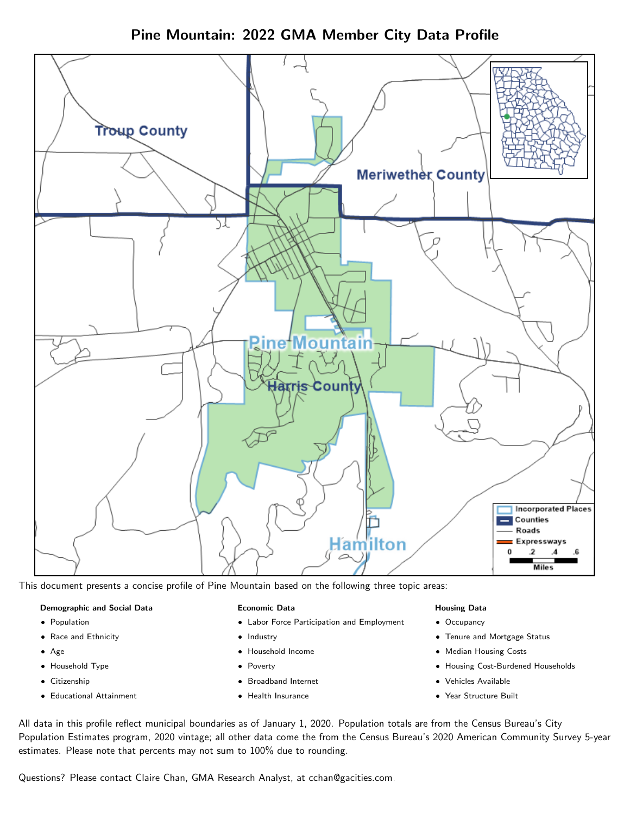Pine Mountain: 2022 GMA Member City Data Profile



This document presents a concise profile of Pine Mountain based on the following three topic areas:

#### Demographic and Social Data

- **•** Population
- Race and Ethnicity
- Age
- Household Type
- **Citizenship**
- Educational Attainment

#### Economic Data

- Labor Force Participation and Employment
- Industry
- Household Income
- Poverty
- Broadband Internet
- Health Insurance

#### Housing Data

- Occupancy
- Tenure and Mortgage Status
- Median Housing Costs
- Housing Cost-Burdened Households
- Vehicles Available
- Year Structure Built

All data in this profile reflect municipal boundaries as of January 1, 2020. Population totals are from the Census Bureau's City Population Estimates program, 2020 vintage; all other data come the from the Census Bureau's 2020 American Community Survey 5-year estimates. Please note that percents may not sum to 100% due to rounding.

Questions? Please contact Claire Chan, GMA Research Analyst, at [cchan@gacities.com.](mailto:cchan@gacities.com)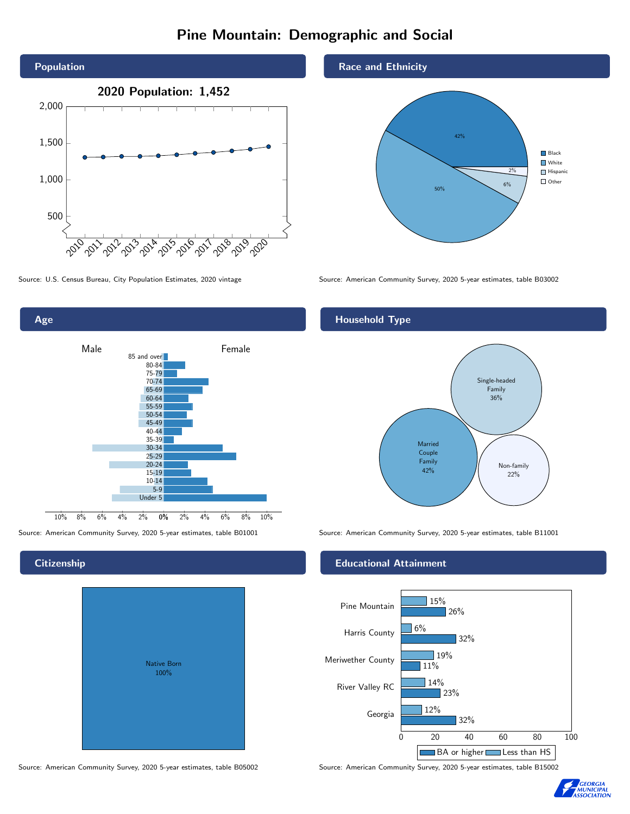# Pine Mountain: Demographic and Social



Age 0% 2% 4% 6% 8% 10% Male **Female** 10% 8% 6% 4% 2% 85 and over 80-84 75-79 70-74 65-69 60-64 55-59 50-54 45-49 40-44 35-39 30-34 25-29 20-24 15-19 10-14 5-9 Under 5

# **Citizenship**

| <b>Native Born</b><br>100% |  |
|----------------------------|--|

Race and Ethnicity



Source: U.S. Census Bureau, City Population Estimates, 2020 vintage Source: American Community Survey, 2020 5-year estimates, table B03002

# Household Type



Source: American Community Survey, 2020 5-year estimates, table B01001 Source: American Community Survey, 2020 5-year estimates, table B11001

### Educational Attainment



Source: American Community Survey, 2020 5-year estimates, table B05002 Source: American Community Survey, 2020 5-year estimates, table B15002

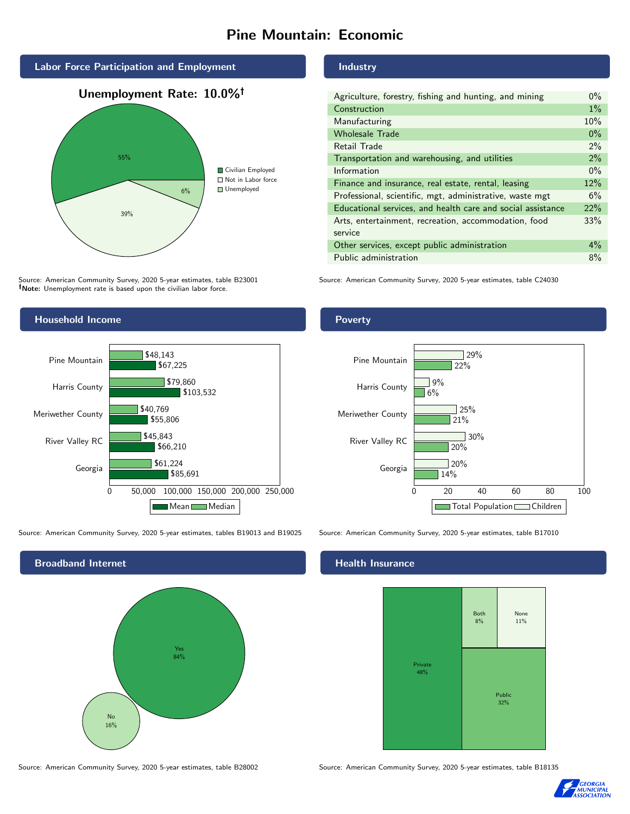# Pine Mountain: Economic







Source: American Community Survey, 2020 5-year estimates, table B23001 Note: Unemployment rate is based upon the civilian labor force.

## Household Income



Source: American Community Survey, 2020 5-year estimates, tables B19013 and B19025 Source: American Community Survey, 2020 5-year estimates, table B17010



Source: American Community Survey, 2020 5-year estimates, table B28002 Source: American Community Survey, 2020 5-year estimates, table B18135

### Industry

| Agriculture, forestry, fishing and hunting, and mining      |       |
|-------------------------------------------------------------|-------|
| Construction                                                | $1\%$ |
| Manufacturing                                               | 10%   |
| <b>Wholesale Trade</b>                                      | $0\%$ |
| Retail Trade                                                | $2\%$ |
| Transportation and warehousing, and utilities               |       |
| Information                                                 |       |
| Finance and insurance, real estate, rental, leasing         |       |
| Professional, scientific, mgt, administrative, waste mgt    |       |
| Educational services, and health care and social assistance |       |
| Arts, entertainment, recreation, accommodation, food        |       |
| service                                                     |       |
| Other services, except public administration                |       |
| Public administration                                       |       |

Source: American Community Survey, 2020 5-year estimates, table C24030

## Poverty



### Health Insurance